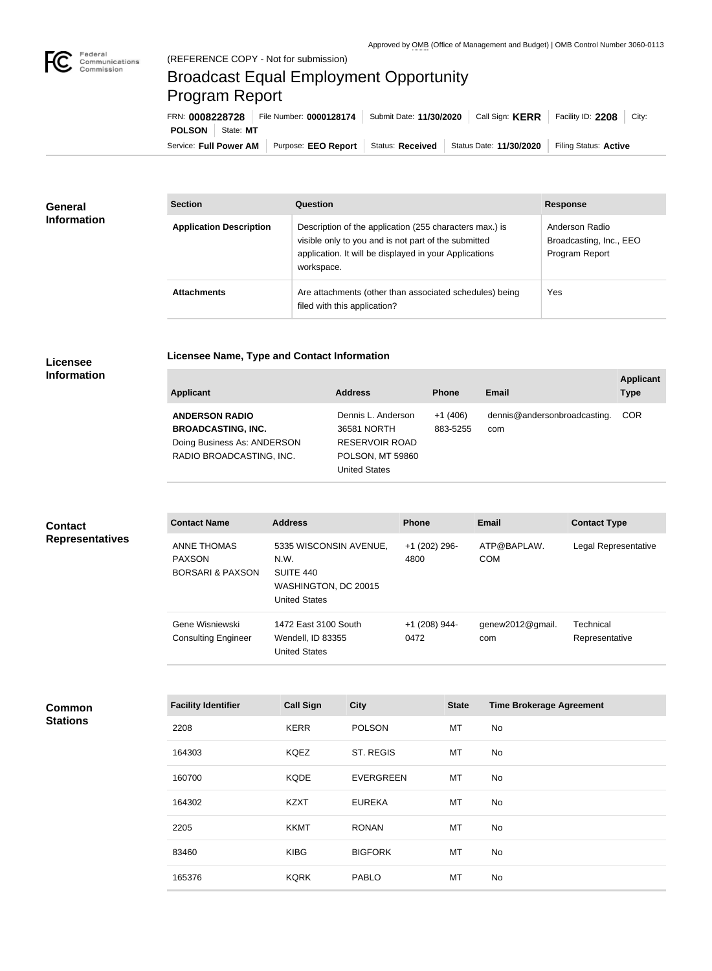

## Broadcast Equal Employment Opportunity Program Report

**Licensee Name, Type and Contact Information**

Service: Full Power AM | Purpose: EEO Report | Status: Received | Status Date: 11/30/2020 | Filing Status: Active **POLSON** State: MT FRN: **0008228728** File Number: **0000128174** Submit Date: **11/30/2020** Call Sign: **KERR** Facility ID: **2208** City:

| General<br><b>Information</b> | <b>Section</b>                 | Question                                                                                                                                                                                | <b>Response</b>                                             |  |
|-------------------------------|--------------------------------|-----------------------------------------------------------------------------------------------------------------------------------------------------------------------------------------|-------------------------------------------------------------|--|
|                               | <b>Application Description</b> | Description of the application (255 characters max.) is<br>visible only to you and is not part of the submitted<br>application. It will be displayed in your Applications<br>workspace. | Anderson Radio<br>Broadcasting, Inc., EEO<br>Program Report |  |
|                               | <b>Attachments</b>             | Are attachments (other than associated schedules) being<br>filed with this application?                                                                                                 | Yes                                                         |  |

## **Licensee Information**

| <b>Applicant</b>                                   | <b>Address</b>                    | <b>Phone</b>          | Email                        | <b>Applicant</b><br><b>Type</b> |
|----------------------------------------------------|-----------------------------------|-----------------------|------------------------------|---------------------------------|
| <b>ANDERSON RADIO</b><br><b>BROADCASTING, INC.</b> | Dennis L. Anderson<br>36581 NORTH | $+1(406)$<br>883-5255 | dennis@andersonbroadcasting. | <b>COR</b>                      |
| Doing Business As: ANDERSON                        | <b>RESERVOIR ROAD</b>             |                       | com                          |                                 |
| RADIO BROADCASTING, INC.                           | <b>POLSON, MT 59860</b>           |                       |                              |                                 |
|                                                    | <b>United States</b>              |                       |                              |                                 |

| <b>Contact</b><br><b>Representatives</b> | <b>Contact Name</b>                                                | <b>Address</b>                                                                              | <b>Phone</b>          | <b>Email</b>                    | <b>Contact Type</b>         |
|------------------------------------------|--------------------------------------------------------------------|---------------------------------------------------------------------------------------------|-----------------------|---------------------------------|-----------------------------|
|                                          | <b>ANNE THOMAS</b><br><b>PAXSON</b><br><b>BORSARI &amp; PAXSON</b> | 5335 WISCONSIN AVENUE,<br>N.W.<br>SUITE 440<br>WASHINGTON, DC 20015<br><b>United States</b> | +1 (202) 296-<br>4800 | ATP@BAPLAW.<br><b>COM</b>       | Legal Representative        |
|                                          | Gene Wisniewski<br><b>Consulting Engineer</b>                      | 1472 East 3100 South<br>Wendell, ID 83355<br><b>United States</b>                           | +1 (208) 944-<br>0472 | genew2012@gmail.<br>com         | Technical<br>Representative |
|                                          |                                                                    |                                                                                             |                       |                                 |                             |
| Common                                   | <b>Facility Identifier</b>                                         | <b>City</b><br><b>Call Sign</b>                                                             | <b>State</b>          | <b>Time Brokerage Agreement</b> |                             |

| <b>Common</b>   |
|-----------------|
| <b>Stations</b> |

| <b>Facility Identifier</b> | <b>Call Sign</b> | <b>City</b>      | <b>State</b> | <b>Time Brokerage Agreement</b> |
|----------------------------|------------------|------------------|--------------|---------------------------------|
| 2208                       | <b>KERR</b>      | <b>POLSON</b>    | МT           | No                              |
| 164303                     | <b>KQEZ</b>      | ST. REGIS        | MT           | No                              |
| 160700                     | <b>KQDE</b>      | <b>EVERGREEN</b> | MT           | No                              |
| 164302                     | <b>KZXT</b>      | <b>EUREKA</b>    | МT           | No                              |
| 2205                       | <b>KKMT</b>      | <b>RONAN</b>     | MT           | No                              |
| 83460                      | <b>KIBG</b>      | <b>BIGFORK</b>   | MT           | No                              |
| 165376                     | <b>KQRK</b>      | <b>PABLO</b>     | MT           | No                              |